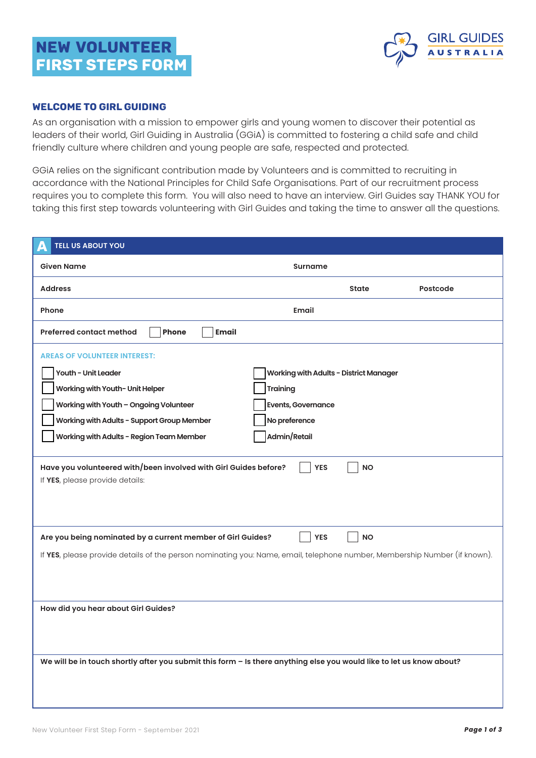## NEW VOLUNTEER FIRST STEPS Form



## WELCOME TO GIRL GUIDING

As an organisation with a mission to empower girls and young women to discover their potential as leaders of their world, Girl Guiding in Australia (GGiA) is committed to fostering a child safe and child friendly culture where children and young people are safe, respected and protected.

GGiA relies on the significant contribution made by Volunteers and is committed to recruiting in accordance with the National Principles for Child Safe Organisations. Part of our recruitment process requires you to complete this form. You will also need to have an interview. Girl Guides say THANK YOU for taking this first step towards volunteering with Girl Guides and taking the time to answer all the questions.

| <b>TELL US ABOUT YOU</b><br>Д                                                                                             |                                               |              |          |  |  |
|---------------------------------------------------------------------------------------------------------------------------|-----------------------------------------------|--------------|----------|--|--|
| <b>Given Name</b>                                                                                                         | <b>Surname</b>                                |              |          |  |  |
| <b>Address</b>                                                                                                            |                                               | <b>State</b> | Postcode |  |  |
| Phone                                                                                                                     | Email                                         |              |          |  |  |
| <b>Email</b><br><b>Preferred contact method</b><br>Phone                                                                  |                                               |              |          |  |  |
| <b>AREAS OF VOLUNTEER INTEREST:</b>                                                                                       |                                               |              |          |  |  |
| Youth - Unit Leader                                                                                                       | <b>Working with Adults - District Manager</b> |              |          |  |  |
| Working with Youth- Unit Helper                                                                                           | Training                                      |              |          |  |  |
| Working with Youth - Ongoing Volunteer                                                                                    | <b>Events, Governance</b>                     |              |          |  |  |
| Working with Adults - Support Group Member                                                                                | No preference                                 |              |          |  |  |
| Working with Adults - Region Team Member                                                                                  | Admin/Retail                                  |              |          |  |  |
| Have you volunteered with/been involved with Girl Guides before?<br>If YES, please provide details:                       | <b>YES</b>                                    | <b>NO</b>    |          |  |  |
| Are you being nominated by a current member of Girl Guides?<br><b>YES</b><br><b>NO</b>                                    |                                               |              |          |  |  |
| If YES, please provide details of the person nominating you: Name, email, telephone number, Membership Number (if known). |                                               |              |          |  |  |
| How did you hear about Girl Guides?                                                                                       |                                               |              |          |  |  |
| We will be in touch shortly after you submit this form - Is there anything else you would like to let us know about?      |                                               |              |          |  |  |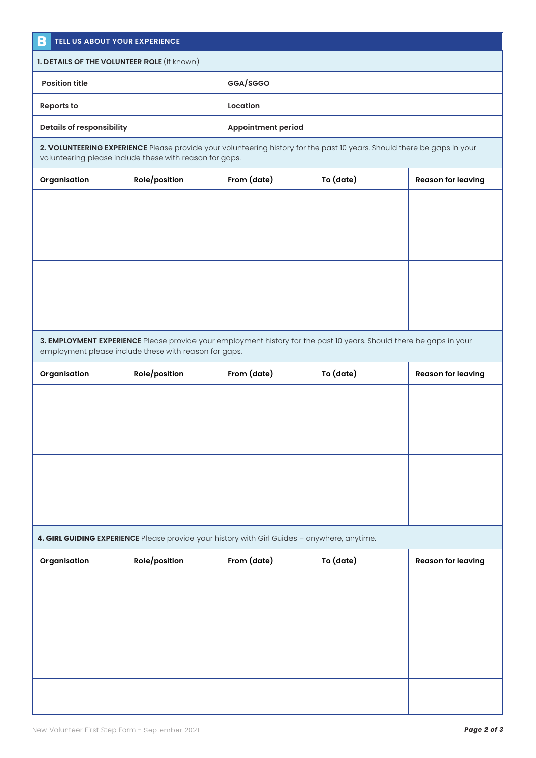| B<br>TELL US ABOUT YOUR EXPERIENCE                                                                                                                                                 |                                                                                                                     |                           |           |                           |  |  |  |
|------------------------------------------------------------------------------------------------------------------------------------------------------------------------------------|---------------------------------------------------------------------------------------------------------------------|---------------------------|-----------|---------------------------|--|--|--|
| 1. DETAILS OF THE VOLUNTEER ROLE (If known)                                                                                                                                        |                                                                                                                     |                           |           |                           |  |  |  |
| <b>Position title</b>                                                                                                                                                              | GGA/SGGO                                                                                                            |                           |           |                           |  |  |  |
| <b>Reports to</b>                                                                                                                                                                  |                                                                                                                     | Location                  |           |                           |  |  |  |
| <b>Details of responsibility</b>                                                                                                                                                   |                                                                                                                     | <b>Appointment period</b> |           |                           |  |  |  |
| 2. VOLUNTEERING EXPERIENCE Please provide your volunteering history for the past 10 years. Should there be gaps in your<br>volunteering please include these with reason for gaps. |                                                                                                                     |                           |           |                           |  |  |  |
| Organisation                                                                                                                                                                       | Role/position                                                                                                       | From (date)               | To (date) | <b>Reason for leaving</b> |  |  |  |
|                                                                                                                                                                                    |                                                                                                                     |                           |           |                           |  |  |  |
|                                                                                                                                                                                    |                                                                                                                     |                           |           |                           |  |  |  |
|                                                                                                                                                                                    |                                                                                                                     |                           |           |                           |  |  |  |
|                                                                                                                                                                                    |                                                                                                                     |                           |           |                           |  |  |  |
|                                                                                                                                                                                    | 3. EMPLOYMENT EXPERIENCE Please provide your employment history for the past 10 years. Should there be gaps in your |                           |           |                           |  |  |  |
|                                                                                                                                                                                    | employment please include these with reason for gaps.                                                               |                           |           |                           |  |  |  |
| Organisation                                                                                                                                                                       | Role/position                                                                                                       | From (date)               | To (date) | <b>Reason for leaving</b> |  |  |  |
|                                                                                                                                                                                    |                                                                                                                     |                           |           |                           |  |  |  |
|                                                                                                                                                                                    |                                                                                                                     |                           |           |                           |  |  |  |
|                                                                                                                                                                                    |                                                                                                                     |                           |           |                           |  |  |  |
|                                                                                                                                                                                    |                                                                                                                     |                           |           |                           |  |  |  |
|                                                                                                                                                                                    | 4. GIRL GUIDING EXPERIENCE Please provide your history with Girl Guides - anywhere, anytime.                        |                           |           |                           |  |  |  |
| Organisation                                                                                                                                                                       | Role/position                                                                                                       | From (date)               | To (date) | <b>Reason for leaving</b> |  |  |  |
|                                                                                                                                                                                    |                                                                                                                     |                           |           |                           |  |  |  |
|                                                                                                                                                                                    |                                                                                                                     |                           |           |                           |  |  |  |
|                                                                                                                                                                                    |                                                                                                                     |                           |           |                           |  |  |  |
|                                                                                                                                                                                    |                                                                                                                     |                           |           |                           |  |  |  |